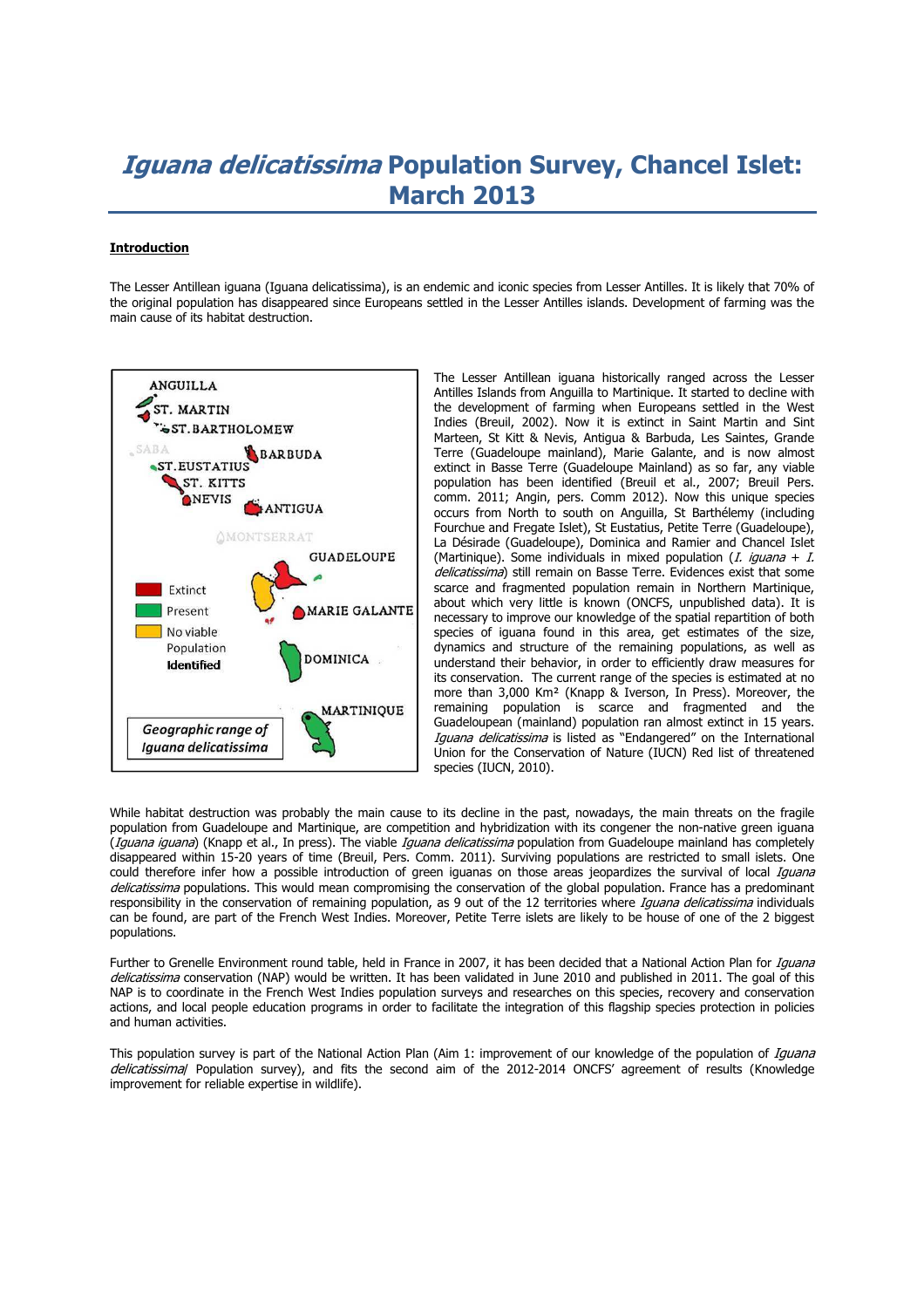# **Iguana delicatissima Population Survey, Chancel Islet: March 2013**

## **Introduction**

The Lesser Antillean iguana (Iguana delicatissima), is an endemic and iconic species from Lesser Antilles. It is likely that 70% of the original population has disappeared since Europeans settled in the Lesser Antilles islands. Development of farming was the main cause of its habitat destruction.



The Lesser Antillean iguana historically ranged across the Lesser Antilles Islands from Anguilla to Martinique. It started to decline with the development of farming when Europeans settled in the West Indies (Breuil, 2002). Now it is extinct in Saint Martin and Sint Marteen, St Kitt & Nevis, Antigua & Barbuda, Les Saintes, Grande Terre (Guadeloupe mainland), Marie Galante, and is now almost extinct in Basse Terre (Guadeloupe Mainland) as so far, any viable population has been identified (Breuil et al., 2007; Breuil Pers. comm. 2011; Angin, pers. Comm 2012). Now this unique species occurs from North to south on Anguilla, St Barthélemy (including Fourchue and Fregate Islet), St Eustatius, Petite Terre (Guadeloupe), La Désirade (Guadeloupe), Dominica and Ramier and Chancel Islet (Martinique). Some individuals in mixed population (*I. iquana + I.* delicatissima) still remain on Basse Terre. Evidences exist that some scarce and fragmented population remain in Northern Martinique, about which very little is known (ONCFS, unpublished data). It is necessary to improve our knowledge of the spatial repartition of both species of iguana found in this area, get estimates of the size, dynamics and structure of the remaining populations, as well as understand their behavior, in order to efficiently draw measures for its conservation. The current range of the species is estimated at no more than 3,000 Km² (Knapp & Iverson, In Press). Moreover, the remaining population is scarce and fragmented and the Guadeloupean (mainland) population ran almost extinct in 15 years. Iguana delicatissima is listed as "Endangered" on the International Union for the Conservation of Nature (IUCN) Red list of threatened species (IUCN, 2010).

While habitat destruction was probably the main cause to its decline in the past, nowadays, the main threats on the fragile population from Guadeloupe and Martinique, are competition and hybridization with its congener the non-native green iguana (Iquana iguana) (Knapp et al., In press). The viable Iquana delicatissima population from Guadeloupe mainland has completely disappeared within 15-20 years of time (Breuil, Pers. Comm. 2011). Surviving populations are restricted to small islets. One could therefore infer how a possible introduction of green iguanas on those areas jeopardizes the survival of local *Iguana* delicatissima populations. This would mean compromising the conservation of the global population. France has a predominant responsibility in the conservation of remaining population, as 9 out of the 12 territories where *Iguana delicatissima* individuals can be found, are part of the French West Indies. Moreover, Petite Terre islets are likely to be house of one of the 2 biggest populations.

Further to Grenelle Environment round table, held in France in 2007, it has been decided that a National Action Plan for *Iguana* delicatissima conservation (NAP) would be written. It has been validated in June 2010 and published in 2011. The goal of this NAP is to coordinate in the French West Indies population surveys and researches on this species, recovery and conservation actions, and local people education programs in order to facilitate the integration of this flagship species protection in policies and human activities.

This population survey is part of the National Action Plan (Aim 1: improvement of our knowledge of the population of Iguana delicatissimal Population survey), and fits the second aim of the 2012-2014 ONCFS' agreement of results (Knowledge improvement for reliable expertise in wildlife).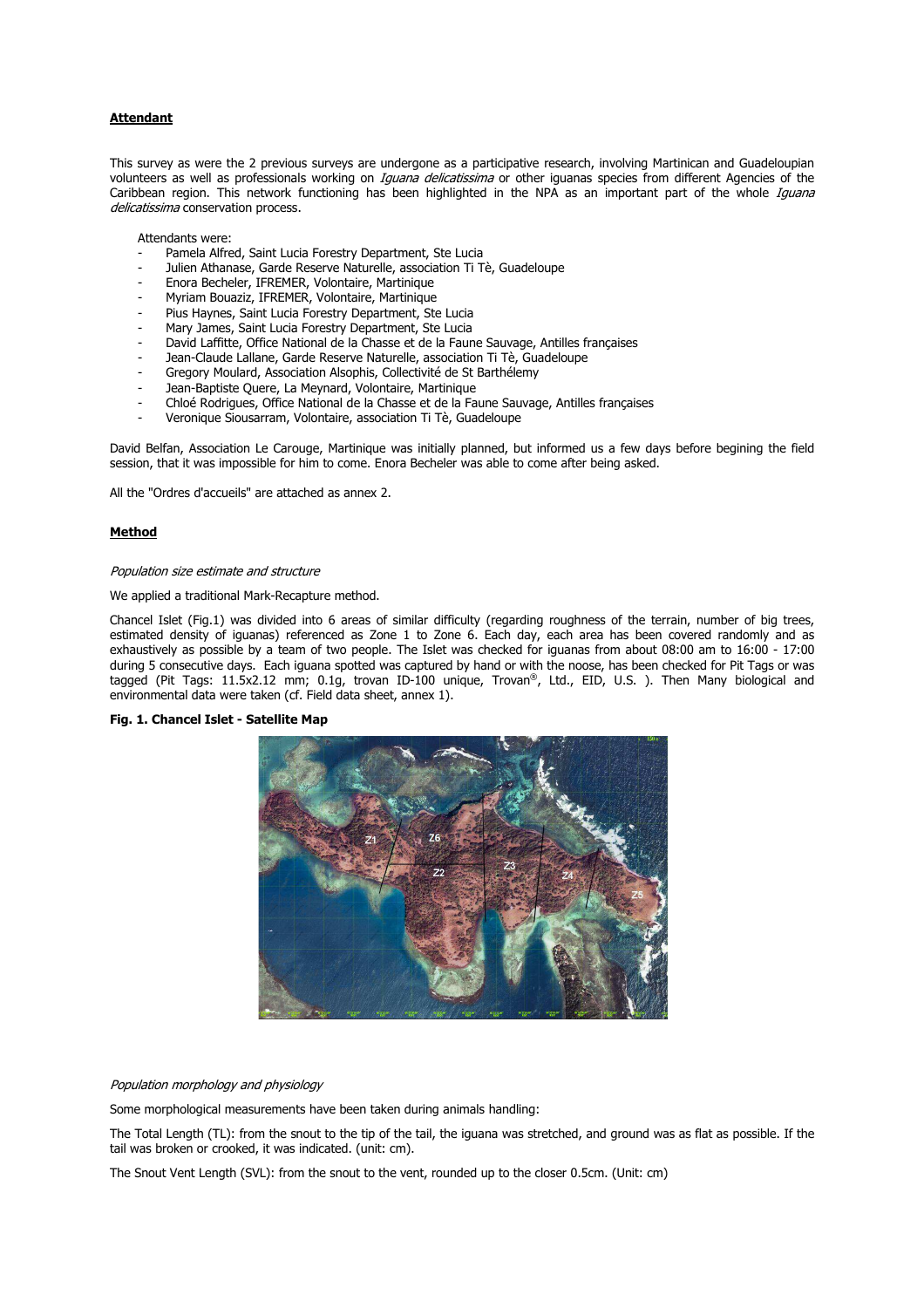## **Attendant**

This survey as were the 2 previous surveys are undergone as a participative research, involving Martinican and Guadeloupian volunteers as well as professionals working on Iguana delicatissima or other iguanas species from different Agencies of the Caribbean region. This network functioning has been highlighted in the NPA as an important part of the whole Iguana delicatissima conservation process.

Attendants were:

- Pamela Alfred, Saint Lucia Forestry Department, Ste Lucia
- Julien Athanase, Garde Reserve Naturelle, association Ti Tè, Guadeloupe
- Enora Becheler, IFREMER, Volontaire, Martinique
- Myriam Bouaziz, IFREMER, Volontaire, Martinique
- Pius Haynes, Saint Lucia Forestry Department, Ste Lucia
- Mary James, Saint Lucia Forestry Department, Ste Lucia
- David Laffitte, Office National de la Chasse et de la Faune Sauvage, Antilles françaises
- Jean-Claude Lallane, Garde Reserve Naturelle, association Ti Tè, Guadeloupe
- Gregory Moulard, Association Alsophis, Collectivité de St Barthélemy
- Jean-Baptiste Quere, La Meynard, Volontaire, Martinique
- Chloé Rodrigues, Office National de la Chasse et de la Faune Sauvage, Antilles françaises
- Veronique Siousarram, Volontaire, association Ti Tè, Guadeloupe

David Belfan, Association Le Carouge, Martinique was initially planned, but informed us a few days before begining the field session, that it was impossible for him to come. Enora Becheler was able to come after being asked.

All the "Ordres d'accueils" are attached as annex 2.

## **Method**

## Population size estimate and structure

#### We applied a traditional Mark-Recapture method.

Chancel Islet (Fig.1) was divided into 6 areas of similar difficulty (regarding roughness of the terrain, number of big trees, estimated density of iguanas) referenced as Zone 1 to Zone 6. Each day, each area has been covered randomly and as exhaustively as possible by a team of two people. The Islet was checked for iguanas from about 08:00 am to 16:00 - 17:00 during 5 consecutive days. Each iguana spotted was captured by hand or with the noose, has been checked for Pit Tags or was tagged (Pit Tags: 11.5x2.12 mm; 0.1g, trovan ID-100 unique, Trovan®, Ltd., EID, U.S. ). Then Many biological and environmental data were taken (cf. Field data sheet, annex 1).

## **Fig. 1. Chancel Islet - Satellite Map**



Population morphology and physiology

Some morphological measurements have been taken during animals handling:

The Total Length (TL): from the snout to the tip of the tail, the iguana was stretched, and ground was as flat as possible. If the tail was broken or crooked, it was indicated. (unit: cm).

The Snout Vent Length (SVL): from the snout to the vent, rounded up to the closer 0.5cm. (Unit: cm)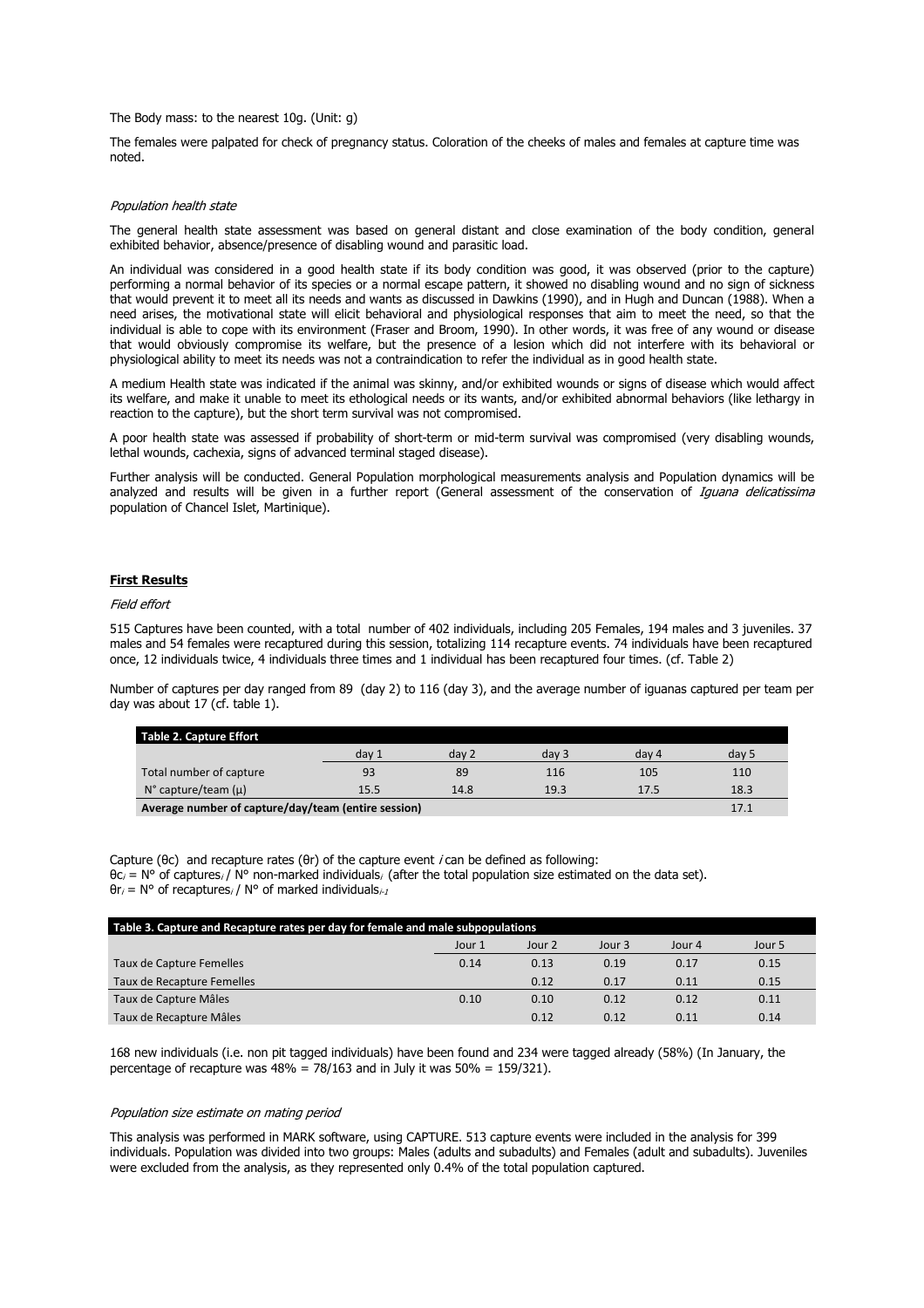The Body mass: to the nearest 10g. (Unit: g)

The females were palpated for check of pregnancy status. Coloration of the cheeks of males and females at capture time was noted.

#### Population health state

The general health state assessment was based on general distant and close examination of the body condition, general exhibited behavior, absence/presence of disabling wound and parasitic load.

An individual was considered in a good health state if its body condition was good, it was observed (prior to the capture) performing a normal behavior of its species or a normal escape pattern, it showed no disabling wound and no sign of sickness that would prevent it to meet all its needs and wants as discussed in Dawkins (1990), and in Hugh and Duncan (1988). When a need arises, the motivational state will elicit behavioral and physiological responses that aim to meet the need, so that the individual is able to cope with its environment (Fraser and Broom, 1990). In other words, it was free of any wound or disease that would obviously compromise its welfare, but the presence of a lesion which did not interfere with its behavioral or physiological ability to meet its needs was not a contraindication to refer the individual as in good health state.

A medium Health state was indicated if the animal was skinny, and/or exhibited wounds or signs of disease which would affect its welfare, and make it unable to meet its ethological needs or its wants, and/or exhibited abnormal behaviors (like lethargy in reaction to the capture), but the short term survival was not compromised.

A poor health state was assessed if probability of short-term or mid-term survival was compromised (very disabling wounds, lethal wounds, cachexia, signs of advanced terminal staged disease).

Further analysis will be conducted. General Population morphological measurements analysis and Population dynamics will be analyzed and results will be given in a further report (General assessment of the conservation of Iquana delicatissima population of Chancel Islet, Martinique).

## **First Results**

## Field effort

515 Captures have been counted, with a total number of 402 individuals, including 205 Females, 194 males and 3 juveniles. 37 males and 54 females were recaptured during this session, totalizing 114 recapture events. 74 individuals have been recaptured once, 12 individuals twice, 4 individuals three times and 1 individual has been recaptured four times. (cf. Table 2)

Number of captures per day ranged from 89 (day 2) to 116 (day 3), and the average number of iguanas captured per team per day was about 17 (cf. table 1).

|                                                     | Table 2. Capture Effort            |       |       |       |       |       |  |
|-----------------------------------------------------|------------------------------------|-------|-------|-------|-------|-------|--|
|                                                     |                                    | dav 1 | day 2 | dav 3 | day 4 | day 5 |  |
|                                                     | Total number of capture            | 93    | 89    | 116   | 105   | 110   |  |
|                                                     | $N^{\circ}$ capture/team ( $\mu$ ) | 15.5  | 14.8  | 19.3  | 17.5  | 18.3  |  |
| Average number of canture/day/team (entire session) |                                    |       |       |       |       |       |  |

**Average number of capture/day/team (entire session)** 17.1

Capture ( $\theta$ c) and recapture rates ( $\theta$ r) of the capture event *i* can be defined as following:  $θc<sub>i</sub> = N°$  of captures<sub>i</sub> / N° non-marked individuals<sub>i</sub> (after the total population size estimated on the data set).  $\theta$ r<sub>i</sub> = N° of recaptures<sub>i</sub> / N° of marked individuals<sub>i-1</sub>

| Table 3. Capture and Recapture rates per day for female and male subpopulations |        |        |        |        |        |  |  |
|---------------------------------------------------------------------------------|--------|--------|--------|--------|--------|--|--|
|                                                                                 | Jour 1 | Jour 2 | Jour 3 | Jour 4 | Jour 5 |  |  |
| Taux de Capture Femelles                                                        | 0.14   | 0.13   | 0.19   | 0.17   | 0.15   |  |  |
| Taux de Recapture Femelles                                                      |        | 0.12   | 0.17   | 0.11   | 0.15   |  |  |
| Taux de Capture Mâles                                                           | 0.10   | 0.10   | 0.12   | 0.12   | 0.11   |  |  |
| Taux de Recapture Mâles                                                         |        | 0.12   | 0.12   | 0.11   | 0.14   |  |  |

168 new individuals (i.e. non pit tagged individuals) have been found and 234 were tagged already (58%) (In January, the percentage of recapture was  $48\% = 78/163$  and in July it was  $50\% = 159/321$ ).

### Population size estimate on mating period

This analysis was performed in MARK software, using CAPTURE. 513 capture events were included in the analysis for 399 individuals. Population was divided into two groups: Males (adults and subadults) and Females (adult and subadults). Juveniles were excluded from the analysis, as they represented only 0.4% of the total population captured.